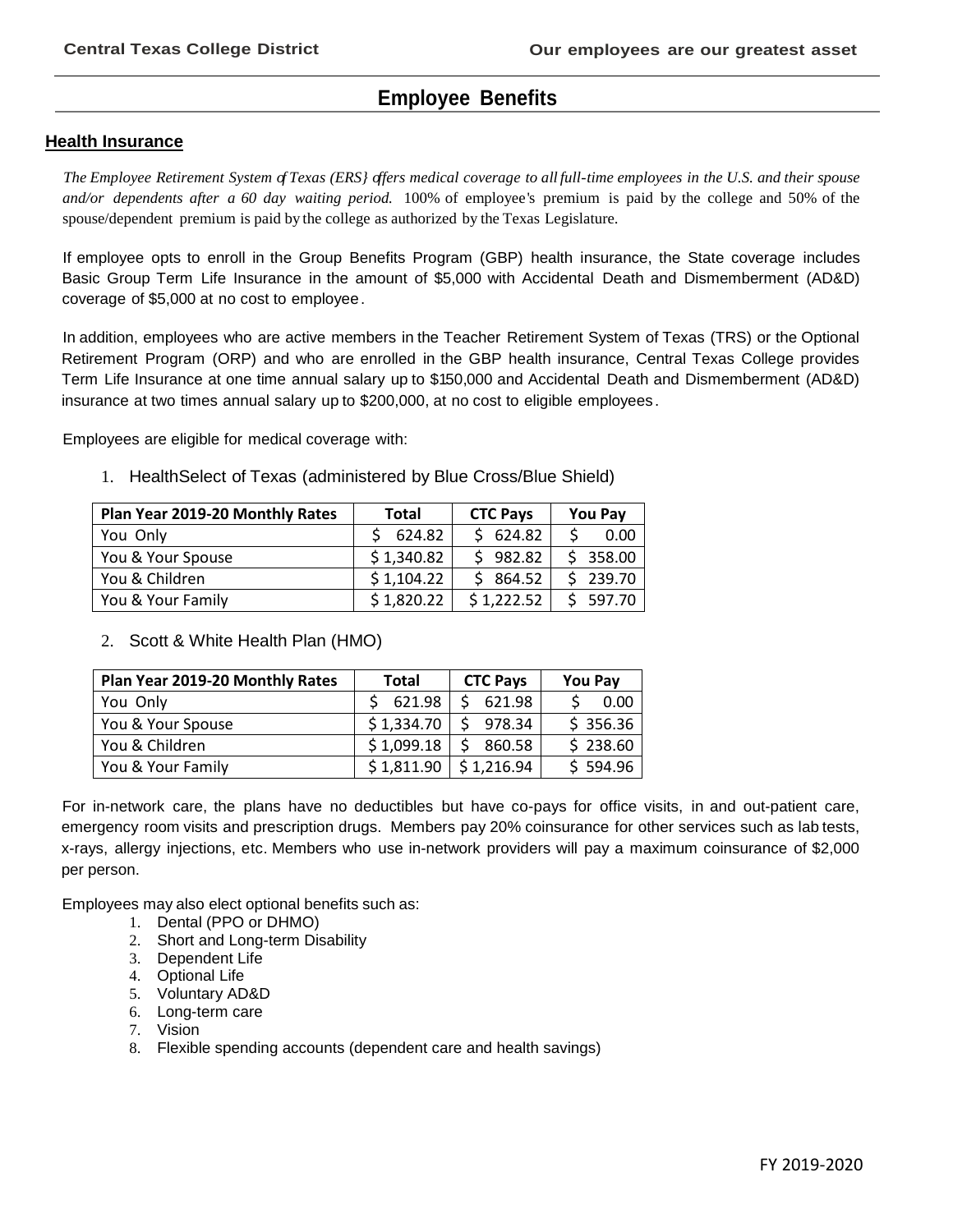# **Employee Benefits**

### **Health Insurance**

The Employee Retirement System of Texas (ERS) offers medical coverage to all full-time employees in the U.S. and their spouse *and/or dependents after a 60 day waiting period.* 100% of employee's premium is paid by the college and 50% of the spouse/dependent premium is paid by the college as authorized by the Texas Legislature.

If employee opts to enroll in the Group Benefits Program (GBP) health insurance, the State coverage includes Basic Group Term Life Insurance in the amount of \$5,000 with Accidental Death and Dismemberment (AD&D) coverage of \$5,000 at no cost to employee.

In addition, employees who are active members in the Teacher Retirement System of Texas (TRS) or the Optional Retirement Program (ORP) and who are enrolled in the GBP health insurance, Central Texas College provides Term Life Insurance at one time annual salary up to \$150,000 and Accidental Death and Dismemberment (AD&D) insurance at two times annual salary up to \$200,000, at no cost to eligible employees .

Employees are eligible for medical coverage with:

1. HealthSelect of Texas (administered by Blue Cross/Blue Shield)

| Plan Year 2019-20 Monthly Rates | Total      | <b>CTC Pays</b> | <b>You Pay</b> |
|---------------------------------|------------|-----------------|----------------|
| You Only                        | 624.82     | \$624.82        | 0.00           |
| You & Your Spouse               | \$1,340.82 | 982.82<br>S.    | \$358.00       |
| You & Children                  | \$1,104.22 | \$864.52        | \$239.70       |
| You & Your Family               | \$1,820.22 | \$1.222.52      | 597.70         |

## 2. Scott & White Health Plan (HMO)

| Plan Year 2019-20 Monthly Rates | <b>Total</b> | <b>CTC Pays</b> | <b>You Pay</b> |
|---------------------------------|--------------|-----------------|----------------|
| You Only                        | 621.98       | 621.98          | 0.00           |
| You & Your Spouse               | \$1,334.70   | 978.34<br>-S    | \$356.36       |
| You & Children                  | \$1,099.18   | S<br>860.58     | \$238.60       |
| You & Your Family               | \$1,811.90   | \$1,216.94      | \$594.96       |

For in-network care, the plans have no deductibles but have co-pays for office visits, in and out-patient care, emergency room visits and prescription drugs. Members pay 20% coinsurance for other services such as lab tests, x-rays, allergy injections, etc. Members who use in-network providers will pay a maximum coinsurance of \$2,000 per person.

Employees may also elect optional benefits such as:

- 1. Dental (PPO or DHMO)
- 2. Short and Long-term Disability
- 3. Dependent Life
- 4. Optional Life
- 5. Voluntary AD&D
- 6. Long-term care
- 7. Vision
- 8. Flexible spending accounts (dependent care and health savings)